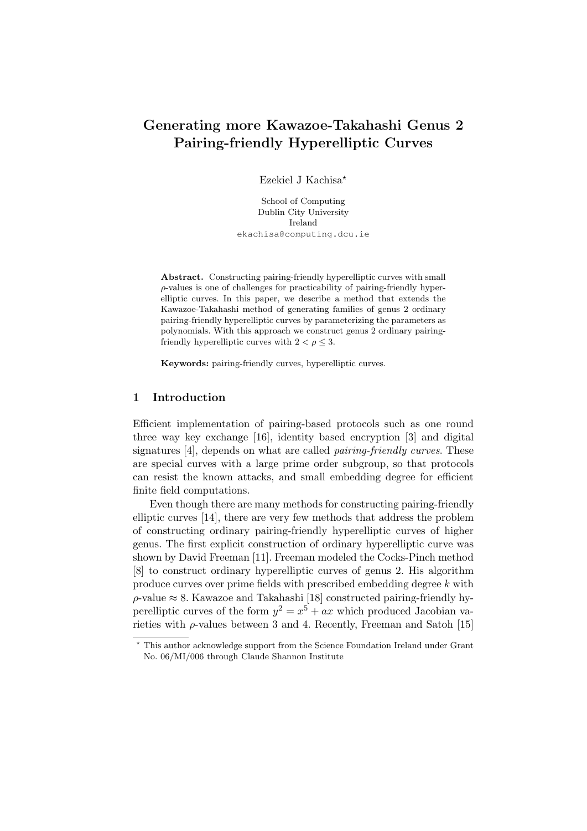# Generating more Kawazoe-Takahashi Genus 2 Pairing-friendly Hyperelliptic Curves

Ezekiel J Kachisa?

School of Computing Dublin City University Ireland ekachisa@computing.dcu.ie

Abstract. Constructing pairing-friendly hyperelliptic curves with small  $\rho$ -values is one of challenges for practicability of pairing-friendly hyperelliptic curves. In this paper, we describe a method that extends the Kawazoe-Takahashi method of generating families of genus 2 ordinary pairing-friendly hyperelliptic curves by parameterizing the parameters as polynomials. With this approach we construct genus 2 ordinary pairingfriendly hyperelliptic curves with  $2 < \rho \leq 3$ .

Keywords: pairing-friendly curves, hyperelliptic curves.

# 1 Introduction

Efficient implementation of pairing-based protocols such as one round three way key exchange [16], identity based encryption [3] and digital signatures [4], depends on what are called *pairing-friendly curves*. These are special curves with a large prime order subgroup, so that protocols can resist the known attacks, and small embedding degree for efficient finite field computations.

Even though there are many methods for constructing pairing-friendly elliptic curves [14], there are very few methods that address the problem of constructing ordinary pairing-friendly hyperelliptic curves of higher genus. The first explicit construction of ordinary hyperelliptic curve was shown by David Freeman [11]. Freeman modeled the Cocks-Pinch method [8] to construct ordinary hyperelliptic curves of genus 2. His algorithm produce curves over prime fields with prescribed embedding degree k with  $\rho$ -value  $\approx 8$ . Kawazoe and Takahashi [18] constructed pairing-friendly hyperelliptic curves of the form  $y^2 = x^5 + ax$  which produced Jacobian varieties with  $\rho$ -values between 3 and 4. Recently, Freeman and Satoh [15]

<sup>?</sup> This author acknowledge support from the Science Foundation Ireland under Grant No. 06/MI/006 through Claude Shannon Institute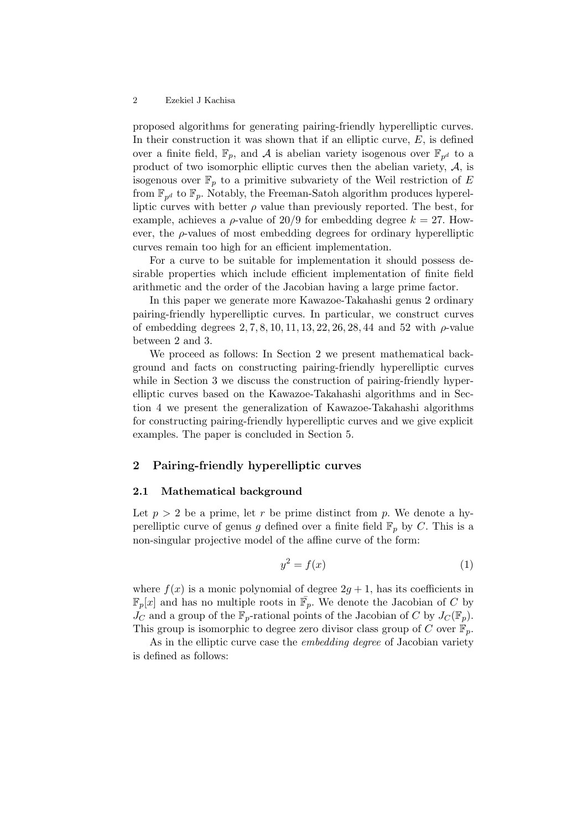proposed algorithms for generating pairing-friendly hyperelliptic curves. In their construction it was shown that if an elliptic curve,  $E$ , is defined over a finite field,  $\mathbb{F}_p$ , and A is abelian variety isogenous over  $\mathbb{F}_{p^d}$  to a product of two isomorphic elliptic curves then the abelian variety,  $A$ , is isogenous over  $\mathbb{F}_p$  to a primitive subvariety of the Weil restriction of E from  $\mathbb{F}_{p^d}$  to  $\mathbb{F}_p$ . Notably, the Freeman-Satoh algorithm produces hyperelliptic curves with better  $\rho$  value than previously reported. The best, for example, achieves a  $\rho$ -value of 20/9 for embedding degree  $k = 27$ . However, the  $\rho$ -values of most embedding degrees for ordinary hyperelliptic curves remain too high for an efficient implementation.

For a curve to be suitable for implementation it should possess desirable properties which include efficient implementation of finite field arithmetic and the order of the Jacobian having a large prime factor.

In this paper we generate more Kawazoe-Takahashi genus 2 ordinary pairing-friendly hyperelliptic curves. In particular, we construct curves of embedding degrees  $2, 7, 8, 10, 11, 13, 22, 26, 28, 44$  and 52 with  $\rho$ -value between 2 and 3.

We proceed as follows: In Section 2 we present mathematical background and facts on constructing pairing-friendly hyperelliptic curves while in Section 3 we discuss the construction of pairing-friendly hyperelliptic curves based on the Kawazoe-Takahashi algorithms and in Section 4 we present the generalization of Kawazoe-Takahashi algorithms for constructing pairing-friendly hyperelliptic curves and we give explicit examples. The paper is concluded in Section 5.

# 2 Pairing-friendly hyperelliptic curves

# 2.1 Mathematical background

Let  $p > 2$  be a prime, let r be prime distinct from p. We denote a hyperelliptic curve of genus g defined over a finite field  $\mathbb{F}_p$  by C. This is a non-singular projective model of the affine curve of the form:

$$
y^2 = f(x) \tag{1}
$$

where  $f(x)$  is a monic polynomial of degree  $2q + 1$ , has its coefficients in  $\mathbb{F}_p[x]$  and has no multiple roots in  $\bar{\mathbb{F}}_p$ . We denote the Jacobian of C by  $J_C$  and a group of the  $\mathbb{F}_p$ -rational points of the Jacobian of C by  $J_C(\mathbb{F}_p)$ . This group is isomorphic to degree zero divisor class group of C over  $\mathbb{F}_p$ .

As in the elliptic curve case the *embedding degree* of Jacobian variety is defined as follows: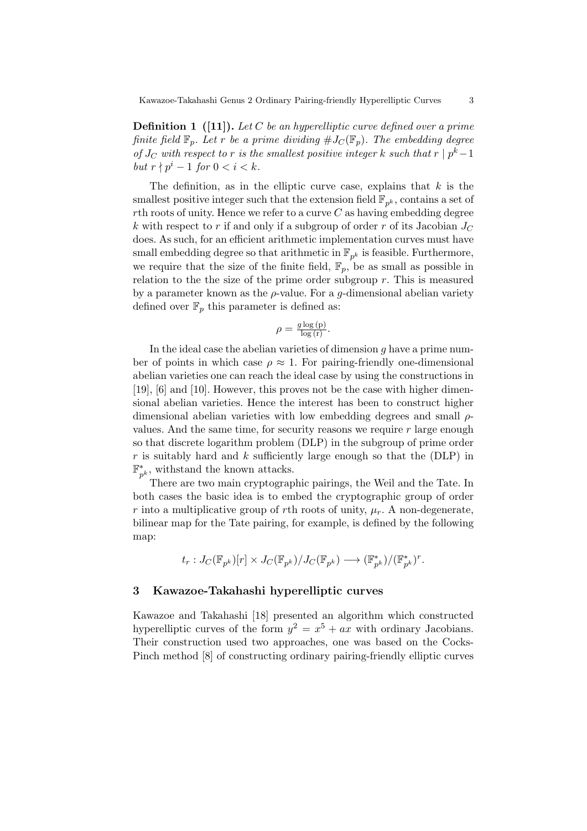**Definition 1** ([11]). Let C be an hyperelliptic curve defined over a prime finite field  $\mathbb{F}_p$ . Let r be a prime dividing  $\#J_{\mathcal{C}}(\mathbb{F}_p)$ . The embedding degree of  $J_C$  with respect to r is the smallest positive integer k such that  $r | p^k-1$ but  $r \nmid p^i - 1$  for  $0 < i < k$ .

The definition, as in the elliptic curve case, explains that  $k$  is the smallest positive integer such that the extension field  $\mathbb{F}_{p^k}$ , contains a set of rth roots of unity. Hence we refer to a curve  $C$  as having embedding degree k with respect to r if and only if a subgroup of order r of its Jacobian  $J_C$ does. As such, for an efficient arithmetic implementation curves must have small embedding degree so that arithmetic in  $\mathbb{F}_{p^k}$  is feasible. Furthermore, we require that the size of the finite field,  $\mathbb{F}_p$ , be as small as possible in relation to the the size of the prime order subgroup  $r$ . This is measured by a parameter known as the  $\rho$ -value. For a *q*-dimensional abelian variety defined over  $\mathbb{F}_p$  this parameter is defined as:

$$
\rho = \frac{g \log(p)}{\log(r)}.
$$

In the ideal case the abelian varieties of dimension  $g$  have a prime number of points in which case  $\rho \approx 1$ . For pairing-friendly one-dimensional abelian varieties one can reach the ideal case by using the constructions in [19], [6] and [10]. However, this proves not be the case with higher dimensional abelian varieties. Hence the interest has been to construct higher dimensional abelian varieties with low embedding degrees and small  $\rho$ values. And the same time, for security reasons we require  $r$  large enough so that discrete logarithm problem (DLP) in the subgroup of prime order  $r$  is suitably hard and  $k$  sufficiently large enough so that the (DLP) in F ∗  $_{p^k}^*$ , withstand the known attacks.

There are two main cryptographic pairings, the Weil and the Tate. In both cases the basic idea is to embed the cryptographic group of order r into a multiplicative group of rth roots of unity,  $\mu_r$ . A non-degenerate, bilinear map for the Tate pairing, for example, is defined by the following map:

$$
t_r: J_C({\mathbb F}_{p^k})[r] \times J_C({\mathbb F}_{p^k})/J_C({\mathbb F}_{p^k}) \longrightarrow ({\mathbb F}_{p^k}^*)/({\mathbb F}_{p^k}^*)^r.
$$

# 3 Kawazoe-Takahashi hyperelliptic curves

Kawazoe and Takahashi [18] presented an algorithm which constructed hyperelliptic curves of the form  $y^2 = x^5 + ax$  with ordinary Jacobians. Their construction used two approaches, one was based on the Cocks-Pinch method [8] of constructing ordinary pairing-friendly elliptic curves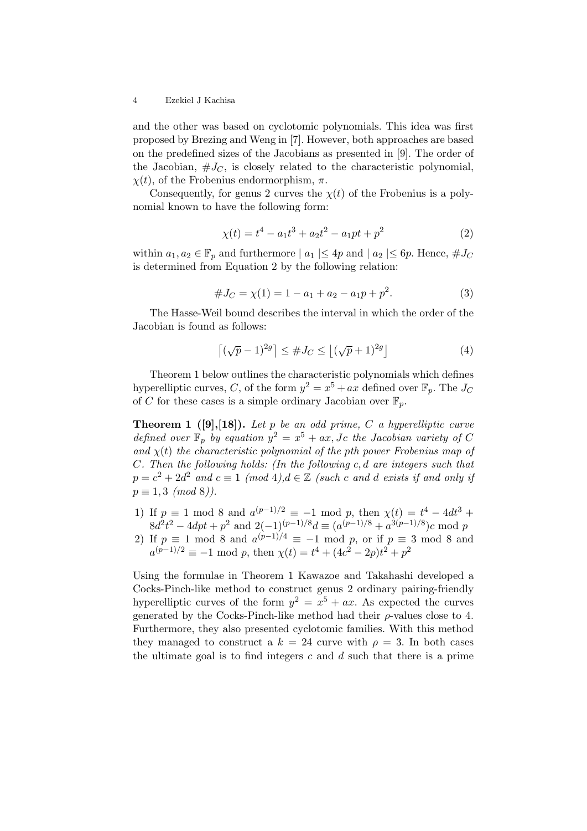and the other was based on cyclotomic polynomials. This idea was first proposed by Brezing and Weng in [7]. However, both approaches are based on the predefined sizes of the Jacobians as presented in [9]. The order of the Jacobian,  $\#J_C$ , is closely related to the characteristic polynomial,  $\chi(t)$ , of the Frobenius endormorphism,  $\pi$ .

Consequently, for genus 2 curves the  $\chi(t)$  of the Frobenius is a polynomial known to have the following form:

$$
\chi(t) = t^4 - a_1 t^3 + a_2 t^2 - a_1 p t + p^2 \tag{2}
$$

within  $a_1, a_2 \in \mathbb{F}_p$  and furthermore  $| a_1 | \leq 4p$  and  $| a_2 | \leq 6p$ . Hence,  $\# J_C$ is determined from Equation 2 by the following relation:

$$
#J_C = \chi(1) = 1 - a_1 + a_2 - a_1 p + p^2.
$$
 (3)

The Hasse-Weil bound describes the interval in which the order of the Jacobian is found as follows:

$$
\left\lceil (\sqrt{p} - 1)^{2g} \right\rceil \le \#J_C \le \left\lfloor (\sqrt{p} + 1)^{2g} \right\rfloor \tag{4}
$$

Theorem 1 below outlines the characteristic polynomials which defines hyperelliptic curves, C, of the form  $y^2 = x^5 + ax$  defined over  $\mathbb{F}_p$ . The  $J_C$ of C for these cases is a simple ordinary Jacobian over  $\mathbb{F}_p$ .

**Theorem 1** ([9],[18]). Let p be an odd prime, C a hyperelliptic curve defined over  $\mathbb{F}_p$  by equation  $y^2 = x^5 + ax$ , Jc the Jacobian variety of C and  $\chi(t)$  the characteristic polynomial of the pth power Frobenius map of  $C.$  Then the following holds: (In the following c, d are integers such that  $p = c^2 + 2d^2$  and  $c \equiv 1 \pmod{4}$ ,  $d \in \mathbb{Z}$  (such c and d exists if and only if  $p \equiv 1, 3 \pmod{8}$ .

- 1) If  $p \equiv 1 \mod 8$  and  $a^{(p-1)/2} \equiv -1 \mod p$ , then  $\chi(t) = t^4 4dt^3 +$  $8d^2t^2 - 4dpt + p^2$  and  $2(-1)^{(p-1)/8}d \equiv (a^{(p-1)/8} + a^{3(p-1)/8})c \mod p$
- 2) If  $p \equiv 1 \mod 8$  and  $a^{(p-1)/4} \equiv -1 \mod p$ , or if  $p \equiv 3 \mod 8$  and  $a^{(p-1)/2} \equiv -1 \mod p$ , then  $\chi(t) = t^4 + (4c^2 - 2p)t^2 + p^2$

Using the formulae in Theorem 1 Kawazoe and Takahashi developed a Cocks-Pinch-like method to construct genus 2 ordinary pairing-friendly hyperelliptic curves of the form  $y^2 = x^5 + ax$ . As expected the curves generated by the Cocks-Pinch-like method had their  $\rho$ -values close to 4. Furthermore, they also presented cyclotomic families. With this method they managed to construct a  $k = 24$  curve with  $\rho = 3$ . In both cases the ultimate goal is to find integers c and  $d$  such that there is a prime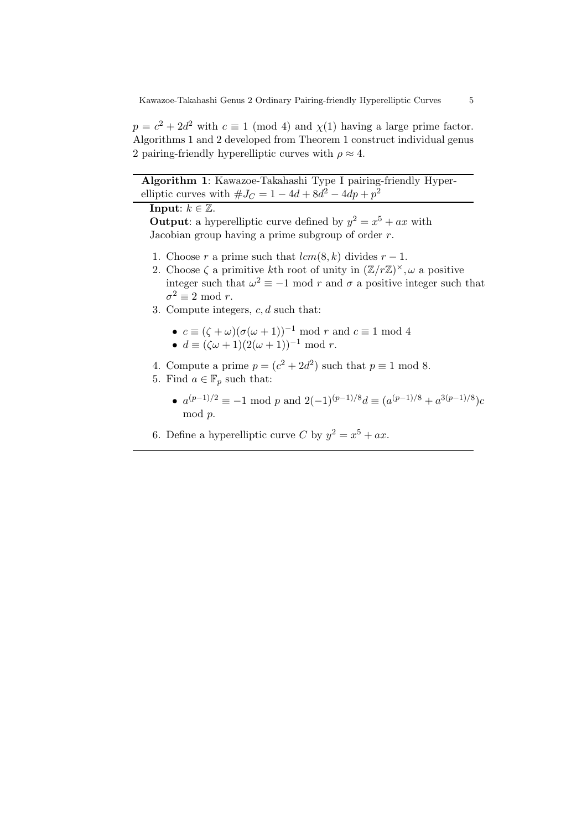$p = c^2 + 2d^2$  with  $c \equiv 1 \pmod{4}$  and  $\chi(1)$  having a large prime factor. Algorithms 1 and 2 developed from Theorem 1 construct individual genus 2 pairing-friendly hyperelliptic curves with  $\rho \approx 4$ .

Algorithm 1: Kawazoe-Takahashi Type I pairing-friendly Hyperelliptic curves with  $\#J_C = 1 - 4d + 8d^2 - 4dp + p^2$ 

# Input:  $k \in \mathbb{Z}$ .

**Output:** a hyperelliptic curve defined by  $y^2 = x^5 + ax$  with Jacobian group having a prime subgroup of order  $r$ .

- 1. Choose r a prime such that  $lcm(8, k)$  divides  $r 1$ .
- 2. Choose  $\zeta$  a primitive kth root of unity in  $(\mathbb{Z}/r\mathbb{Z})^{\times}, \omega$  a positive integer such that  $\omega^2 \equiv -1 \mod r$  and  $\sigma$  a positive integer such that  $\sigma^2 \equiv 2 \mod r$ .
- 3. Compute integers,  $c, d$  such that:
	- $c \equiv (\zeta + \omega)(\sigma(\omega + 1))^{-1} \mod r$  and  $c \equiv 1 \mod 4$
	- $d \equiv (S + \frac{\omega}{c}) (\frac{\omega}{\omega} + 1) (\frac{1}{2}(\omega + 1))^{-1} \mod r.$
- 4. Compute a prime  $p = (c^2 + 2d^2)$  such that  $p \equiv 1 \mod 8$ .
- 5. Find  $a \in \mathbb{F}_p$  such that:
	- $a^{(p-1)/2} \equiv -1 \mod p$  and  $2(-1)^{(p-1)/8}d \equiv (a^{(p-1)/8} + a^{3(p-1)/8})c$ mod p.
- 6. Define a hyperelliptic curve C by  $y^2 = x^5 + ax$ .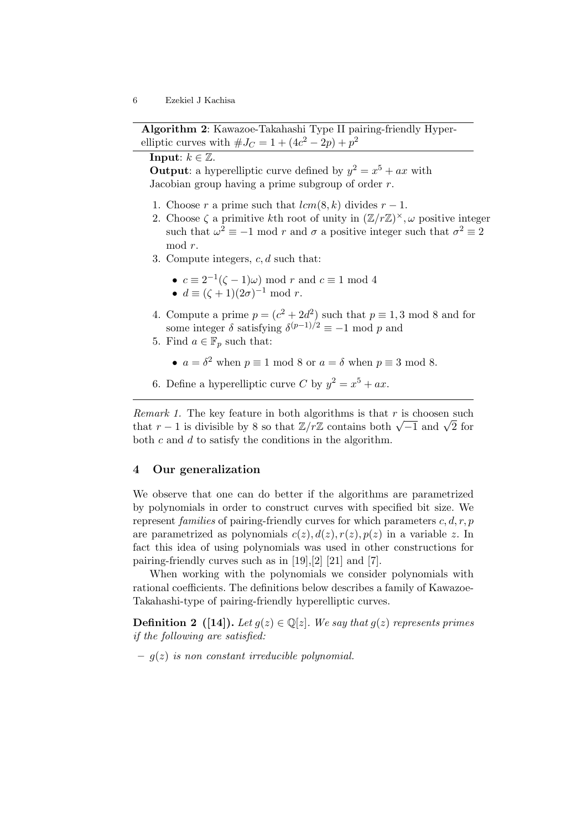Algorithm 2: Kawazoe-Takahashi Type II pairing-friendly Hyperelliptic curves with  $\#J_C = 1 + (4c^2 - 2p) + p^2$ 

# **Input:**  $k \in \mathbb{Z}$ .

**Output:** a hyperelliptic curve defined by  $y^2 = x^5 + ax$  with Jacobian group having a prime subgroup of order  $r$ .

- 1. Choose r a prime such that  $lcm(8, k)$  divides  $r 1$ .
- 2. Choose  $\zeta$  a primitive kth root of unity in  $(\mathbb{Z}/r\mathbb{Z})^{\times}, \omega$  positive integer such that  $\omega^2 \equiv -1 \mod r$  and  $\sigma$  a positive integer such that  $\sigma^2 \equiv 2$ mod r.
- 3. Compute integers,  $c, d$  such that:
	- $c \equiv 2^{-1}(\zeta 1)\omega$  mod r and  $c \equiv 1 \mod 4$
	- $d \equiv (\zeta + 1)(2\sigma)^{-1} \mod r$ .
- 4. Compute a prime  $p = (c^2 + 2d^2)$  such that  $p \equiv 1, 3 \mod 8$  and for some integer  $\delta$  satisfying  $\delta^{(p-1)/2} \equiv -1 \mod p$  and
- 5. Find  $a \in \mathbb{F}_p$  such that:
	- $a = \delta^2$  when  $p \equiv 1 \mod 8$  or  $a = \delta$  when  $p \equiv 3 \mod 8$ .
- 6. Define a hyperelliptic curve C by  $y^2 = x^5 + ax$ .

*Remark 1.* The key feature in both algorithms is that  $r$  is choosen such *that r* − 1 is divisible by 8 so that  $\mathbb{Z}/r\mathbb{Z}$  contains both  $\sqrt{-1}$  and  $\sqrt{2}$  for both  $c$  and  $d$  to satisfy the conditions in the algorithm.

# 4 Our generalization

We observe that one can do better if the algorithms are parametrized by polynomials in order to construct curves with specified bit size. We represent *families* of pairing-friendly curves for which parameters  $c, d, r, p$ are parametrized as polynomials  $c(z)$ ,  $d(z)$ ,  $r(z)$ ,  $p(z)$  in a variable z. In fact this idea of using polynomials was used in other constructions for pairing-friendly curves such as in [19],[2] [21] and [7].

When working with the polynomials we consider polynomials with rational coefficients. The definitions below describes a family of Kawazoe-Takahashi-type of pairing-friendly hyperelliptic curves.

**Definition 2** ([14]). Let  $g(z) \in \mathbb{Q}[z]$ . We say that  $g(z)$  represents primes if the following are satisfied:

 $- q(z)$  is non constant irreducible polynomial.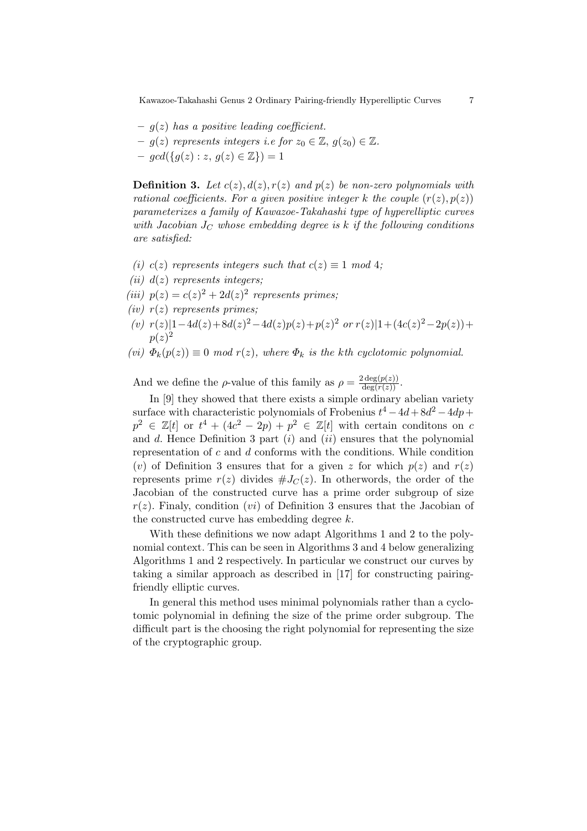- $q(z)$  has a positive leading coefficient.
- $-g(z)$  represents integers i.e for  $z_0 \in \mathbb{Z}$ ,  $g(z_0) \in \mathbb{Z}$ .
- $gcd({g(z) : z, g(z) \in \mathbb{Z}}) = 1$

**Definition 3.** Let  $c(z)$ ,  $d(z)$ ,  $r(z)$  and  $p(z)$  be non-zero polynomials with rational coefficients. For a given positive integer k the couple  $(r(z), p(z))$ parameterizes a family of Kawazoe-Takahashi type of hyperelliptic curves with Jacobian  $J_C$  whose embedding degree is k if the following conditions are satisfied:

- (i) c(z) represents integers such that  $c(z) \equiv 1 \mod 4$ ;
- (*ii*)  $d(z)$  represents integers;
- (iii)  $p(z) = c(z)^2 + 2d(z)^2$  represents primes;
- (iv)  $r(z)$  represents primes;
- (v)  $r(z)|1-4d(z)+8d(z)^2-4d(z)p(z)+p(z)^2$  or  $r(z)|1+(4c(z)^2-2p(z))+$  $p(z)^2$
- (vi)  $\Phi_k(p(z)) \equiv 0 \mod r(z)$ , where  $\Phi_k$  is the kth cyclotomic polynomial.

And we define the  $\rho$ -value of this family as  $\rho = \frac{2 \deg(p(z))}{\deg(r(z))}$ .

In [9] they showed that there exists a simple ordinary abelian variety surface with characteristic polynomials of Frobenius  $t^4 - 4d + 8d^2 - 4dp +$  $p^2 \in \mathbb{Z}[t]$  or  $t^4 + (4c^2 - 2p) + p^2 \in \mathbb{Z}[t]$  with certain conditions on c and  $d$ . Hence Definition 3 part  $(i)$  and  $(ii)$  ensures that the polynomial representation of  $c$  and  $d$  conforms with the conditions. While condition (v) of Definition 3 ensures that for a given z for which  $p(z)$  and  $r(z)$ represents prime  $r(z)$  divides  $\#J_{C}(z)$ . In otherwords, the order of the Jacobian of the constructed curve has a prime order subgroup of size  $r(z)$ . Finaly, condition (*vi*) of Definition 3 ensures that the Jacobian of the constructed curve has embedding degree k.

With these definitions we now adapt Algorithms 1 and 2 to the polynomial context. This can be seen in Algorithms 3 and 4 below generalizing Algorithms 1 and 2 respectively. In particular we construct our curves by taking a similar approach as described in [17] for constructing pairingfriendly elliptic curves.

In general this method uses minimal polynomials rather than a cyclotomic polynomial in defining the size of the prime order subgroup. The difficult part is the choosing the right polynomial for representing the size of the cryptographic group.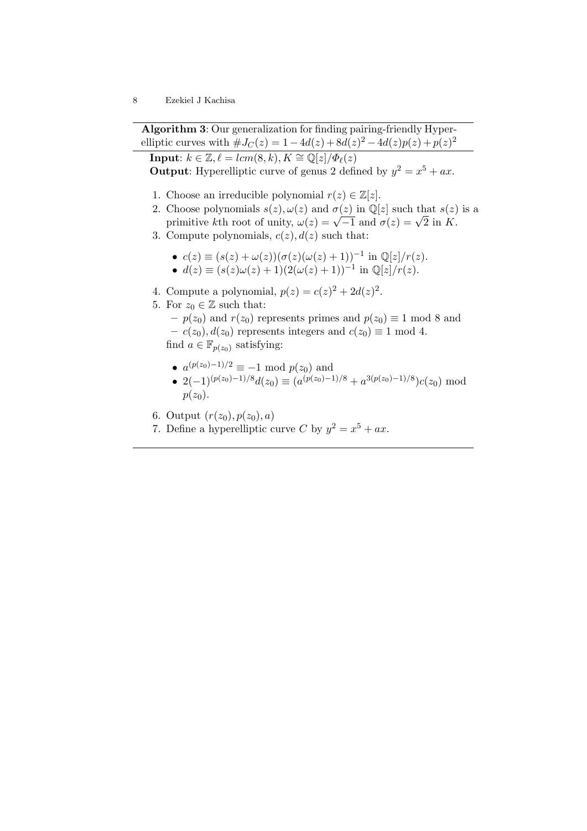Algorithm 3: Our generalization for finding pairing-friendly Hyperelliptic curves with  $\#J_C(z) = 1 - 4d(z) + 8d(z)^2 - 4d(z)p(z) + p(z)^2$ 

**Input:**  $k \in \mathbb{Z}, \ell = lcm(8, k), K \cong \mathbb{Q}[z]/\Phi_{\ell}(z)$ **Output:** Hyperelliptic curve of genus 2 defined by  $y^2 = x^5 + ax$ .

- 1. Choose an irreducible polynomial  $r(z) \in \mathbb{Z}[z]$ .
- 2. Choose polynomials  $s(z)$ ,  $\omega(z)$  and  $\sigma(z)$  in  $\mathbb{Q}[z]$  such that  $s(z)$  is a Choose polynomials  $s(z)$ ,  $\omega(z)$  and  $\sigma(z)$  in  $\psi[z]$  such that  $s(z)$ <br>primitive kth root of unity,  $\omega(z) = \sqrt{-1}$  and  $\sigma(z) = \sqrt{2}$  in K.
- 3. Compute polynomials,  $c(z)$ ,  $d(z)$  such that:
	- $c(z) \equiv (s(z) + \omega(z))(\sigma(z)(\omega(z) + 1))^{-1}$  in  $\mathbb{Q}[z]/r(z)$ . •  $d(z) \equiv (s(z)\omega(z) + 1)(2(\omega(z) + 1))^{-1}$  in  $\mathbb{Q}[z]/r(z)$ .
- 4. Compute a polynomial,  $p(z) = c(z)^2 + 2d(z)^2$ .
- 5. For  $z_0 \in \mathbb{Z}$  such that:

- 
$$
p(z_0)
$$
 and  $r(z_0)$  represents primes and  $p(z_0) \equiv 1 \mod 8$  and  
-  $c(z_0), d(z_0)$  represents integers and  $c(z_0) \equiv 1 \mod 4$ .  
find  $a \in \mathbb{F}_{p(z_0)}$  satisfying:

- $a^{(p(z_0)-1)/2} \equiv -1 \mod p(z_0)$  and
- $2(-1)^{(p(z_0)-1)/8}d(z_0) \equiv (a^{(p(z_0)-1)/8} + a^{3(p(z_0)-1)/8})c(z_0) \mod$  $p(z_0)$ .
- 6. Output  $(r(z_0), p(z_0), a)$
- 7. Define a hyperelliptic curve C by  $y^2 = x^5 + ax$ .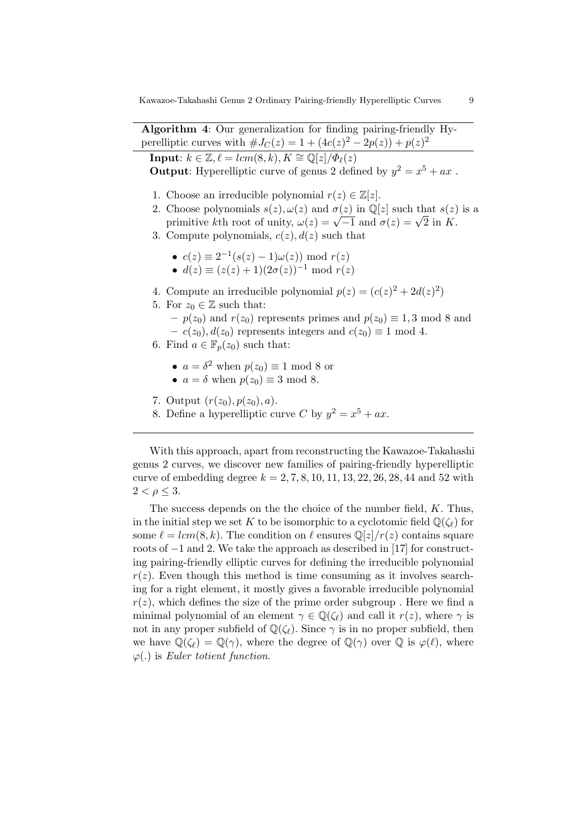Algorithm 4: Our generalization for finding pairing-friendly Hyperelliptic curves with  $\#J_C(z) = 1 + (4c(z)^2 - 2p(z)) + p(z)^2$ 

**Input:**  $k \in \mathbb{Z}, \ell = lcm(8, k), K \cong \mathbb{Q}[z]/\Phi_{\ell}(z)$ **Output:** Hyperelliptic curve of genus 2 defined by  $y^2 = x^5 + ax$ .

- 1. Choose an irreducible polynomial  $r(z) \in \mathbb{Z}[z]$ .
- 2. Choose polynomials  $s(z), \omega(z)$  and  $\sigma(z)$  in  $\mathbb{Q}[z]$  such that  $s(z)$  is a Choose polynomials  $s(z)$ ,  $\omega(z)$  and  $\sigma(z)$  in  $\psi[z]$  such that  $s(z)$ <br>primitive kth root of unity,  $\omega(z) = \sqrt{-1}$  and  $\sigma(z) = \sqrt{2}$  in K.
- 3. Compute polynomials,  $c(z)$ ,  $d(z)$  such that
	- $c(z) \equiv 2^{-1}(s(z) 1)\omega(z)$  mod  $r(z)$ •  $d(z) \equiv (z(z) + 1)(2\sigma(z))^{-1} \text{ mod } r(z)$
	-
- 4. Compute an irreducible polynomial  $p(z) = (c(z)^2 + 2d(z)^2)$
- 5. For  $z_0 \in \mathbb{Z}$  such that:
	- $p(z_0)$  and  $r(z_0)$  represents primes and  $p(z_0) \equiv 1, 3 \mod 8$  and –  $c(z_0)$ ,  $d(z_0)$  represents integers and  $c(z_0) \equiv 1 \mod 4$ .
- 6. Find  $a \in \mathbb{F}_n(z_0)$  such that:
	- $a = \delta^2$  when  $p(z_0) \equiv 1 \mod 8$  or
	- $a = \delta$  when  $p(z_0) \equiv 3 \mod 8$ .
- 7. Output  $(r(z_0), p(z_0), a)$ .
- 8. Define a hyperelliptic curve C by  $y^2 = x^5 + ax$ .

With this approach, apart from reconstructing the Kawazoe-Takahashi genus 2 curves, we discover new families of pairing-friendly hyperelliptic curve of embedding degree  $k = 2, 7, 8, 10, 11, 13, 22, 26, 28, 44$  and 52 with  $2 < \rho \leq 3$ .

The success depends on the the choice of the number field, K. Thus, in the initial step we set K to be isomorphic to a cyclotomic field  $\mathbb{Q}(\zeta_{\ell})$  for some  $\ell = lcm(8, k)$ . The condition on  $\ell$  ensures  $\mathbb{Q}[z]/r(z)$  contains square roots of −1 and 2. We take the approach as described in [17] for constructing pairing-friendly elliptic curves for defining the irreducible polynomial  $r(z)$ . Even though this method is time consuming as it involves searching for a right element, it mostly gives a favorable irreducible polynomial  $r(z)$ , which defines the size of the prime order subgroup. Here we find a minimal polynomial of an element  $\gamma \in \mathbb{Q}(\zeta_{\ell})$  and call it  $r(z)$ , where  $\gamma$  is not in any proper subfield of  $\mathbb{Q}(\zeta_{\ell})$ . Since  $\gamma$  is in no proper subfield, then we have  $\mathbb{Q}(\zeta_{\ell}) = \mathbb{Q}(\gamma)$ , where the degree of  $\mathbb{Q}(\gamma)$  over  $\mathbb{Q}$  is  $\varphi(\ell)$ , where  $\varphi(.)$  is Euler totient function.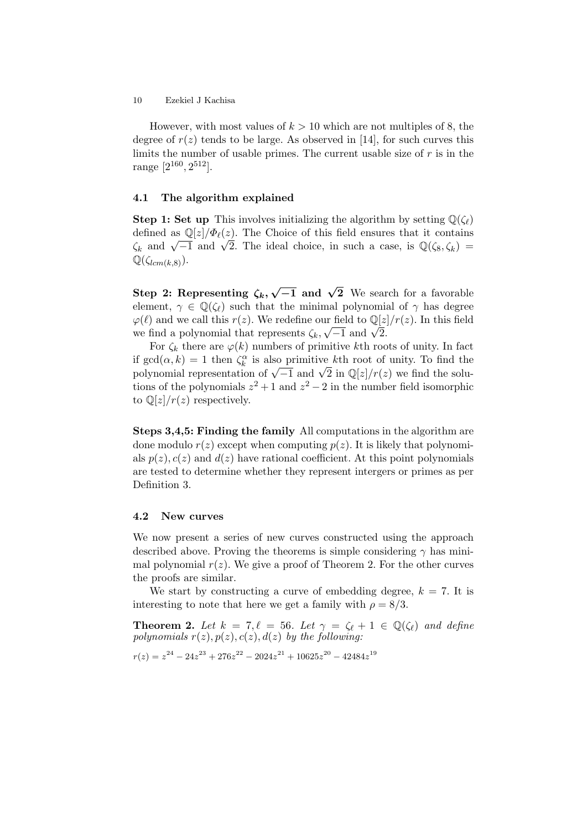However, with most values of  $k > 10$  which are not multiples of 8, the degree of  $r(z)$  tends to be large. As observed in [14], for such curves this limits the number of usable primes. The current usable size of  $r$  is in the range  $[2^{160}, 2^{512}]$ .

#### 4.1 The algorithm explained

**Step 1: Set up** This involves initializing the algorithm by setting  $\mathbb{Q}(\zeta_{\ell})$ defined as  $\mathbb{Q}[z]/\Phi_{\ell}(z)$ . The Choice of this field ensures that it contains defined as  $\mathbb{Q}[z]/\mathbb{Z}e(z)$ . The Unoice of this field ensures that it contains  $\zeta_k$  and  $\sqrt{-1}$  and  $\sqrt{2}$ . The ideal choice, in such a case, is  $\mathbb{Q}(\zeta_8, \zeta_k)$  =  $\mathbb{Q}(\zeta_{lcm(k,8)})$ .

Step 2: Representing  $\zeta_k$ ,  $\sqrt{-1}$  and  $\sqrt{2}$  We search for a favorable element,  $\gamma \in \mathbb{Q}(\zeta_{\ell})$  such that the minimal polynomial of  $\gamma$  has degree  $\varphi(\ell)$  and we call this  $r(z)$ . We redefine our field to  $\mathbb{Q}[z]/r(z)$ . In this field  $\varphi(\ell)$  and we can this  $r(z)$ . We redefine our field to  $\mathbb{Q}[z]$ <br>we find a polynomial that represents  $\zeta_k, \sqrt{-1}$  and  $\sqrt{2}$ .

For  $\zeta_k$  there are  $\varphi(k)$  numbers of primitive kth roots of unity. In fact if  $gcd(\alpha, k) = 1$  then  $\zeta_k^{\alpha}$  is also primitive kth root of unity. To find the n gca( $\alpha, \kappa$ ) = 1 then  $\zeta_k^{\Sigma}$  is also primitive  $\kappa$ th root of unity. To find the solu-<br>polynomial representation of  $\sqrt{-1}$  and  $\sqrt{2}$  in  $\mathbb{Q}[z]/r(z)$  we find the solutions of the polynomials  $z^2 + 1$  and  $z^2 - 2$  in the number field isomorphic to  $\mathbb{Q}[z]/r(z)$  respectively.

Steps 3,4,5: Finding the family All computations in the algorithm are done modulo  $r(z)$  except when computing  $p(z)$ . It is likely that polynomials  $p(z)$ ,  $c(z)$  and  $d(z)$  have rational coefficient. At this point polynomials are tested to determine whether they represent intergers or primes as per Definition 3.

### 4.2 New curves

We now present a series of new curves constructed using the approach described above. Proving the theorems is simple considering  $\gamma$  has minimal polynomial  $r(z)$ . We give a proof of Theorem 2. For the other curves the proofs are similar.

We start by constructing a curve of embedding degree,  $k = 7$ . It is interesting to note that here we get a family with  $\rho = 8/3$ .

**Theorem 2.** Let  $k = 7, \ell = 56$ . Let  $\gamma = \zeta_{\ell} + 1 \in \mathbb{Q}(\zeta_{\ell})$  and define polynomials  $r(z)$ ,  $p(z)$ ,  $c(z)$ ,  $d(z)$  by the following:

$$
r(z) = z^{24} - 24z^{23} + 276z^{22} - 2024z^{21} + 10625z^{20} - 42484z^{19}
$$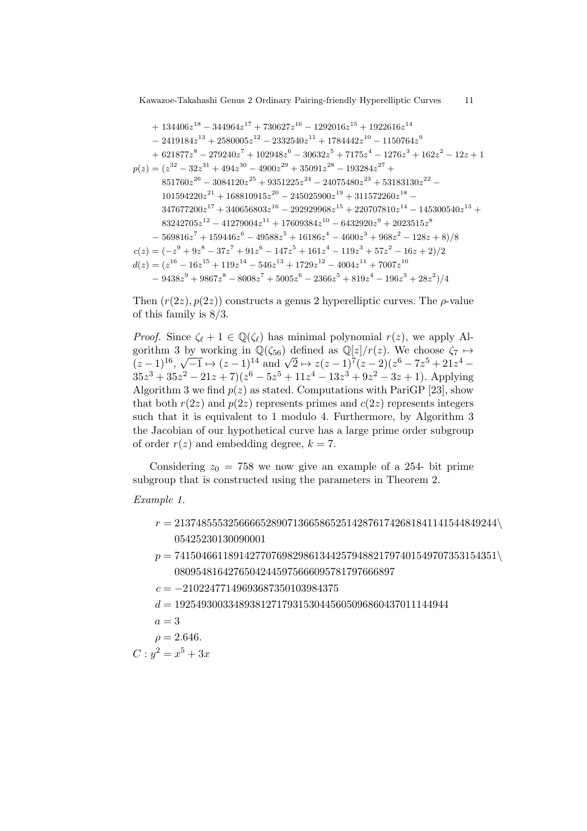+ 134406z − 344964z + 730627z − 1292016z + 1922616z − 2419184z + 2580005z − 2332540z + 1784442z − 1150764z + 621877z − 279240z + 102948z − 30632z + 7175z − 1276z + 162z − 12z + 1 p(z) = (z − 32z + 494z − 4900z + 35091z − 193284z + z − 3084120z + 9351225z − 24075480z + 53183130z − z + 168810915z − 245025900z + 311572260z − z + 340656803z − 292929968z + 220707810z − 145300540z + z − 41279004z + 17609384z − 6432920z + 2023515z − 569816z + 159446z − 49588z + 16186z − 4600z + 968z − 128z + 8)/8 c(z) = (−z + 9z − 37z + 91z − 147z + 161z − 119z + 57z − 16z + 2)/2 d(z) = (z − 16z + 119z − 546z + 1729z − 4004z + 7007z − 9438z + 9867z − 8008z + 5005z − 2366z + 819z − 196z + 28z )/4

Then  $(r(2z), p(2z))$  constructs a genus 2 hyperelliptic curves. The  $\rho$ -value of this family is 8/3.

*Proof.* Since  $\zeta_{\ell} + 1 \in \mathbb{Q}(\zeta_{\ell})$  has minimal polynomial  $r(z)$ , we apply Algorithm 3 by working in  $\mathbb{Q}(\zeta_{56})$  defined as  $\mathbb{Q}[z]/r(z)$ . We choose  $\zeta_7 \mapsto$  $(z-1)^{16}$ , by working in  $\mathbb{Q}(\xi_{56})$  defined as  $\mathbb{Q}[z]/r(z)$ . We choose  $\zeta_7 \mapsto$ <br> $\sqrt{-1} \mapsto (z-1)^{14}$  and  $\sqrt{2} \mapsto z(z-1)^7(z-2)(z^6-7z^5+21z^4 35z^3 + 35z^2 - 21z + 7(z^6 - 5z^5 + 11z^4 - 13z^3 + 9z^2 - 3z + 1)$ . Applying Algorithm 3 we find  $p(z)$  as stated. Computations with PariGP [23], show that both  $r(2z)$  and  $p(2z)$  represents primes and  $c(2z)$  represents integers such that it is equivalent to 1 modulo 4. Furthermore, by Algorithm 3 the Jacobian of our hypothetical curve has a large prime order subgroup of order  $r(z)$  and embedding degree,  $k = 7$ .

Considering  $z_0 = 758$  we now give an example of a 254- bit prime subgroup that is constructed using the parameters in Theorem 2.

#### Example 1.

- $r = 213748555325666652890713665865251428761742681841141544849244\$
- $p = 741504661189142770769829861344257948821797401549707353154351\backslash$
- $c = -21022477149693687350103984375$
- $d = 192549300334893812717931530445605096860437011144944$
- $a = 3$

$$
\rho = 2.646.
$$

 $C: y^2 = x^5 + 3x$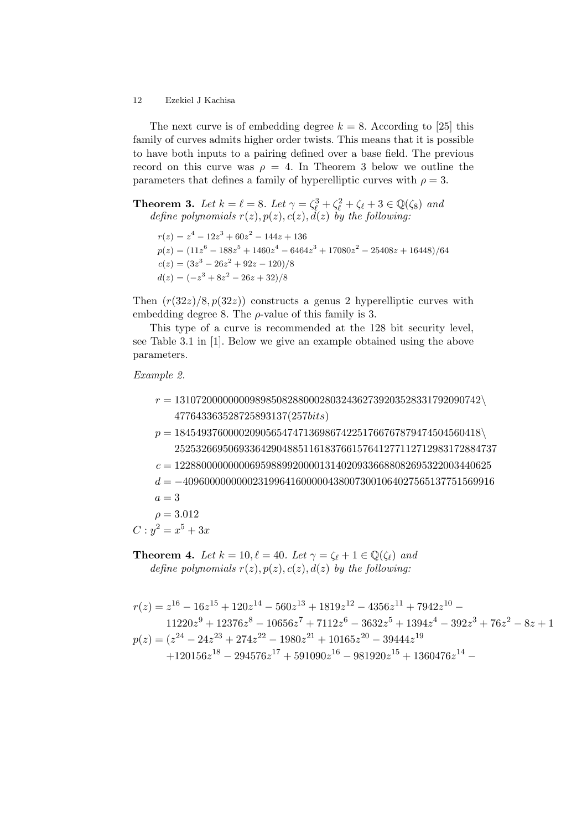The next curve is of embedding degree  $k = 8$ . According to [25] this family of curves admits higher order twists. This means that it is possible to have both inputs to a pairing defined over a base field. The previous record on this curve was  $\rho = 4$ . In Theorem 3 below we outline the parameters that defines a family of hyperelliptic curves with  $\rho = 3$ .

**Theorem 3.** Let  $k = \ell = 8$ . Let  $\gamma = \zeta_{\ell}^3 + \zeta_{\ell}^2 + \zeta_{\ell} + 3 \in \mathbb{Q}(\zeta_8)$  and define polynomials  $r(z)$ ,  $p(z)$ ,  $c(z)$ ,  $d(z)$  by the following:

 $r(z) = z^4 - 12z^3 + 60z^2 - 144z + 136$  $p(z) = (11z<sup>6</sup> - 188z<sup>5</sup> + 1460z<sup>4</sup> - 6464z<sup>3</sup> + 17080z<sup>2</sup> - 25408z + 16448)/64$  $c(z) = (3z^3 - 26z^2 + 92z - 120)/8$  $d(z) = (-z^3 + 8z^2 - 26z + 32)/8$ 

Then  $(r(32z)/8, p(32z))$  constructs a genus 2 hyperelliptic curves with embedding degree 8. The  $\rho$ -value of this family is 3.

This type of a curve is recommended at the 128 bit security level, see Table 3.1 in [1]. Below we give an example obtained using the above parameters.

# Example 2.

- $r = 131072000000009898508288000280324362739203528331792090742\backslash$ 477643363528725893137(257bits)
- $p = 184549376000020905654747136986742251766767879474504560418$ 252532669506933642904885116183766157641277112712983172884737
- $c = 12288000000000695988992000013140209336688082695322003440625$
- $d = -4096000000000231996416000004380073001064027565137751569916$
- $a=3$
- $\rho = 3.012$

 $C: y^2 = x^5 + 3x$ 

**Theorem 4.** Let  $k = 10, \ell = 40$ . Let  $\gamma = \zeta_{\ell} + 1 \in \mathbb{Q}(\zeta_{\ell})$  and define polynomials  $r(z)$ ,  $p(z)$ ,  $c(z)$ ,  $d(z)$  by the following:

$$
r(z) = z^{16} - 16z^{15} + 120z^{14} - 560z^{13} + 1819z^{12} - 4356z^{11} + 7942z^{10} - 11220z^9 + 12376z^8 - 10656z^7 + 7112z^6 - 3632z^5 + 1394z^4 - 392z^3 + 76z^2 - 8z + 1
$$
  
\n
$$
p(z) = (z^{24} - 24z^{23} + 274z^{22} - 1980z^{21} + 10165z^{20} - 39444z^{19} + 120156z^{18} - 294576z^{17} + 591090z^{16} - 981920z^{15} + 1360476z^{14} - 120156z^{16} - 1981920z^{17} + 13604z^{18} - 120156z^{18} - 120156z^{18} - 120156z^{18} - 120156z^{18} - 120156z^{18} - 120156z^{18} - 120156z^{18} - 120156z^{18} - 120156z^{18} - 120156z^{18} - 120156z^{18} - 120156z^{18} - 120156z^{18} - 120156z^{18} - 120156z^{18} - 120156z^{18} - 120156z^{18} - 120156z^{18} - 120156z^{18} - 120156z^{18} - 120156z^{18} - 120156z^{18} - 120156z^{18} - 120156z^{18} - 120156z^{18} - 120156z^{18} - 120156z^{18} - 120156z^{18} - 120156z^{18} - 120156z^{18} - 120156z^{18} - 120156z^{18} - 120156z^{18
$$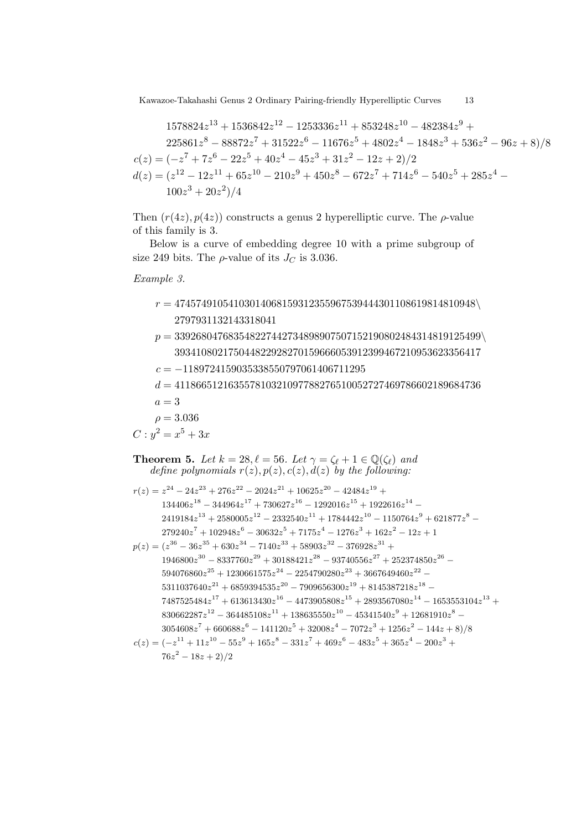$$
1578824z^{13} + 1536842z^{12} - 1253336z^{11} + 853248z^{10} - 482384z^9 + 225861z^8 - 88872z^7 + 31522z^6 - 11676z^5 + 4802z^4 - 1848z^3 + 536z^2 - 96z + 8)/8
$$
  
\n
$$
c(z) = (-z^7 + 7z^6 - 22z^5 + 40z^4 - 45z^3 + 31z^2 - 12z + 2)/2
$$
  
\n
$$
d(z) = (z^{12} - 12z^{11} + 65z^{10} - 210z^9 + 450z^8 - 672z^7 + 714z^6 - 540z^5 + 285z^4 - 100z^3 + 20z^2)/4
$$

Then  $(r(4z), p(4z))$  constructs a genus 2 hyperelliptic curve. The  $\rho$ -value of this family is 3.

Below is a curve of embedding degree 10 with a prime subgroup of size 249 bits. The  $\rho$ -value of its  $J_C$  is 3.036.

Example 3.

- $r=47457491054103014068159312355967539444301108619814810948\backslash$ 2797931132143318041
- $p = 339268047683548227442734898907507152190802484314819125499\$ 393410802175044822928270159666053912399467210953623356417
- $c = -1189724159035338550797061406711295$

 $d = 411866512163557810321097788276510052727469786602189684736$ 

- $a=3$
- $\rho = 3.036$

$$
C: y^2 = x^5 + 3x
$$

- **Theorem 5.** Let  $k = 28$ ,  $\ell = 56$ . Let  $\gamma = \zeta_{\ell} + 1 \in \mathbb{Q}(\zeta_{\ell})$  and define polynomials  $r(z)$ ,  $p(z)$ ,  $c(z)$ ,  $d(z)$  by the following:
- $r(z) = z^{24} 24z^{23} + 276z^{22} 2024z^{21} + 10625z^{20} 42484z^{19} +$  $134406z^{18} - 344964z^{17} + 730627z^{16} - 1292016z^{15} + 1922616z^{14} 2419184z^{13} + 2580005z^{12} - 2332540z^{11} + 1784442z^{10} - 1150764z^9 + 621877z^8 279240z^7 + 102948z^6 - 30632z^5 + 7175z^4 - 1276z^3 + 162z^2 - 12z + 1$  $p(z) = (z^{36} - 36z^{35} + 630z^{34} - 7140z^{33} + 58903z^{32} - 376928z^{31} +$  $1946800z^{30} - 8337760z^{29} + 30188421z^{28} - 93740556z^{27} + 252374850z^{26} -$
- $594076860z^{25} + 1230661575z^{24} 2254790280z^{23} + 3667649460z^{22} 5311037640z^{21} + 6859394535z^{20} - 7909656300z^{19} + 8145387218z^{18} 7487525484z^{17} + 613613430z^{16} - 4473905808z^{15} + 2893567080z^{14} - 1653553104z^{13} +$  $830662287z^{12} - 364485108z^{11} + 138635550z^{10} - 45341540z^9 + 12681910z^8$  $3054608z^7 + 660688z^6 - 141120z^5 + 32008z^4 - 7072z^3 + 1256z^2 - 144z + 8)/8$  $c(z) = (-z^{11} + 11z^{10} - 55z^{9} + 165z^{8} - 331z^{7} + 469z^{6} - 483z^{5} + 365z^{4} - 200z^{3} +$  $76z^2 - 18z + 2)/2$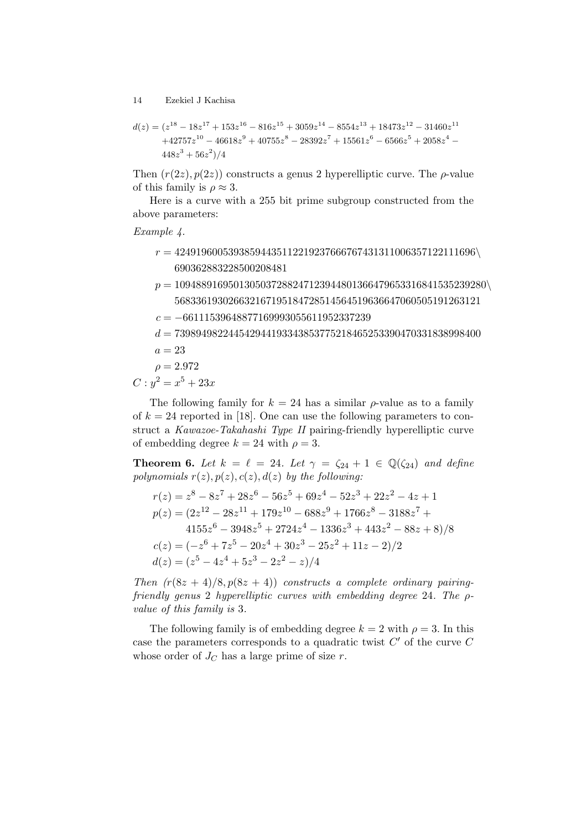$$
d(z) = (z^{18} - 18z^{17} + 153z^{16} - 816z^{15} + 3059z^{14} - 8554z^{13} + 18473z^{12} - 31460z^{11} + 42757z^{10} - 46618z^9 + 40755z^8 - 28392z^7 + 15561z^6 - 6566z^5 + 2058z^4 - 448z^3 + 56z^2)/4
$$

Then  $(r(2z), p(2z))$  constructs a genus 2 hyperelliptic curve. The  $\rho$ -value of this family is  $\rho \approx 3$ .

Here is a curve with a 255 bit prime subgroup constructed from the above parameters:

Example 4.

- $r = 42491960053938594435112219237666767431311006357122111696$ 690362883228500208481
- $p = 1094889169501305037288247123944801366479653316841535239280\backslash$ 568336193026632167195184728514564519636647060505191263121  $c = -66111539648877169993055611952337239$  $d = 739894982244542944193343853775218465253390470331838998400$  $a = 23$  $2.972$

$$
\rho=2.972
$$

 $C: y^2 = x^5 + 23x$ 

The following family for  $k = 24$  has a similar  $\rho$ -value as to a family of  $k = 24$  reported in [18]. One can use the following parameters to construct a Kawazoe-Takahashi Type II pairing-friendly hyperelliptic curve of embedding degree  $k = 24$  with  $\rho = 3$ .

**Theorem 6.** Let  $k = \ell = 24$ . Let  $\gamma = \zeta_{24} + 1 \in \mathbb{Q}(\zeta_{24})$  and define polynomials  $r(z)$ ,  $p(z)$ ,  $c(z)$ ,  $d(z)$  by the following:

$$
r(z) = z^8 - 8z^7 + 28z^6 - 56z^5 + 69z^4 - 52z^3 + 22z^2 - 4z + 1
$$
  
\n
$$
p(z) = (2z^{12} - 28z^{11} + 179z^{10} - 688z^9 + 1766z^8 - 3188z^7 + 4155z^6 - 3948z^5 + 2724z^4 - 1336z^3 + 443z^2 - 88z + 8)/8
$$
  
\n
$$
c(z) = (-z^6 + 7z^5 - 20z^4 + 30z^3 - 25z^2 + 11z - 2)/2
$$
  
\n
$$
d(z) = (z^5 - 4z^4 + 5z^3 - 2z^2 - z)/4
$$

Then  $(r(8z + 4)/8, p(8z + 4))$  constructs a complete ordinary pairingfriendly genus 2 hyperelliptic curves with embedding degree 24. The  $\rho$ value of this family is 3.

The following family is of embedding degree  $k = 2$  with  $\rho = 3$ . In this case the parameters corresponds to a quadratic twist  $C'$  of the curve  $C$ whose order of  $J_C$  has a large prime of size r.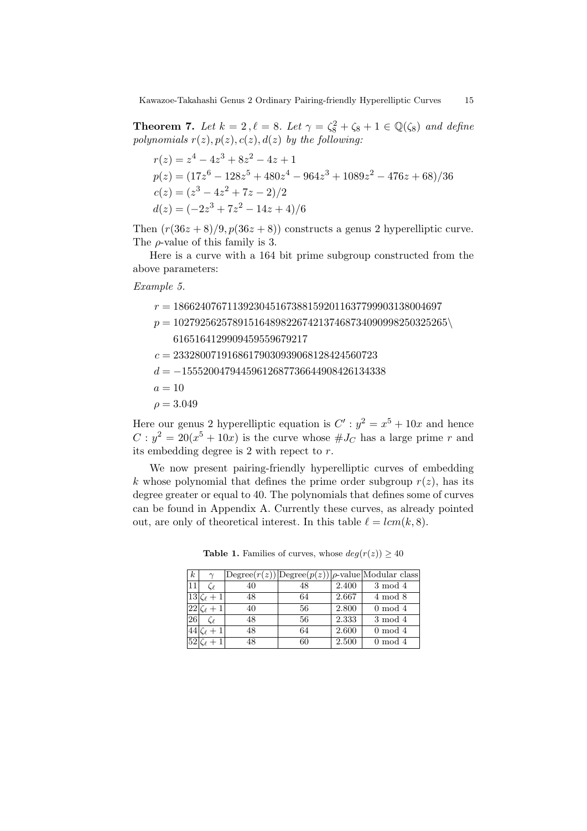**Theorem 7.** Let  $k = 2$ ,  $\ell = 8$ . Let  $\gamma = \zeta_8^2 + \zeta_8 + 1 \in \mathbb{Q}(\zeta_8)$  and define polynomials  $r(z)$ ,  $p(z)$ ,  $c(z)$ ,  $d(z)$  by the following:

$$
r(z) = z4 - 4z3 + 8z2 - 4z + 1
$$
  
\n
$$
p(z) = (17z6 - 128z5 + 480z4 - 964z3 + 1089z2 - 476z + 68)/36
$$
  
\n
$$
c(z) = (z3 - 4z2 + 7z - 2)/2
$$
  
\n
$$
d(z) = (-2z3 + 7z2 - 14z + 4)/6
$$

Then  $(r(36z+8)/9, p(36z+8))$  constructs a genus 2 hyperelliptic curve. The  $\rho$ -value of this family is 3.

Here is a curve with a 164 bit prime subgroup constructed from the above parameters:

Example 5.

 $r = 18662407671139230451673881592011637799903138004697$  $p = 102792562578915164898226742137468734090998250325265\backslash$ 6165164129909459559679217  $c = 23328007191686179030939068128424560723$  $d = -15552004794459612687736644908426134338$  $a = 10$  $\rho = 3.049$ 

Here our genus 2 hyperelliptic equation is  $C': y^2 = x^5 + 10x$  and hence  $C: y^2 = 20(x^5 + 10x)$  is the curve whose  $\#J_C$  has a large prime r and its embedding degree is 2 with repect to r.

We now present pairing-friendly hyperelliptic curves of embedding k whose polynomial that defines the prime order subgroup  $r(z)$ , has its degree greater or equal to 40. The polynomials that defines some of curves can be found in Appendix A. Currently these curves, as already pointed out, are only of theoretical interest. In this table  $\ell = lcm(k, 8)$ .

**Table 1.** Families of curves, whose  $deg(r(z)) \geq 40$ 

| k  |                  |    |    |       | $\text{Degree}(r(z))$ $\text{Degree}(p(z))$ $\rho$ -value Modular class |
|----|------------------|----|----|-------|-------------------------------------------------------------------------|
|    |                  | 40 | 48 | 2.400 | 3 mod 4                                                                 |
|    | Ce $+1$          | 48 | 64 | 2.667 | $4 \mod 8$                                                              |
| 22 | $\zeta_{\ell}+1$ | 40 | 56 | 2.800 | $0 \mod 4$                                                              |
| 26 |                  | 48 | 56 | 2.333 | $3 \mod 4$                                                              |
|    |                  | 48 | 64 | 2.600 | $0 \mod 4$                                                              |
|    |                  |    | 60 | 2.500 | $0 \mod 4$                                                              |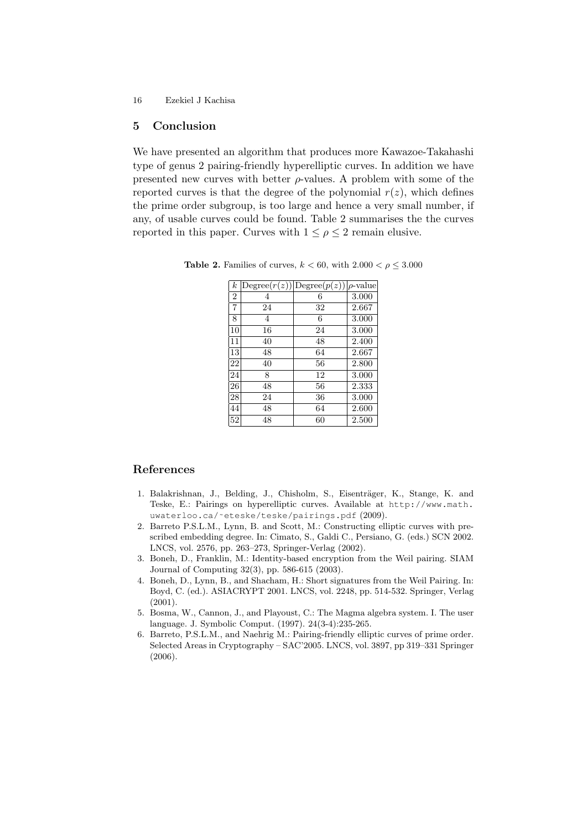### 5 Conclusion

We have presented an algorithm that produces more Kawazoe-Takahashi type of genus 2 pairing-friendly hyperelliptic curves. In addition we have presented new curves with better  $\rho$ -values. A problem with some of the reported curves is that the degree of the polynomial  $r(z)$ , which defines the prime order subgroup, is too large and hence a very small number, if any, of usable curves could be found. Table 2 summarises the the curves reported in this paper. Curves with  $1 \leq \rho \leq 2$  remain elusive.

| $\boldsymbol{k}$ |    | $ \text{Degree}(r(z))  \text{Degree}(p(z))  \rho\text{-value}$ |       |
|------------------|----|----------------------------------------------------------------|-------|
| $\overline{2}$   | 4  | 6                                                              | 3.000 |
| $\overline{7}$   | 24 | 32                                                             | 2.667 |
| 8                | 4  | 6                                                              | 3.000 |
| 10               | 16 | 24                                                             | 3.000 |
| 11               | 40 | 48                                                             | 2.400 |
| 13               | 48 | 64                                                             | 2.667 |
| 22               | 40 | 56                                                             | 2.800 |
| 24               | 8  | 12                                                             | 3.000 |
| 26               | 48 | 56                                                             | 2.333 |
| 28               | 24 | 36                                                             | 3.000 |
| 44               | 48 | 64                                                             | 2.600 |
| 52               | 48 | 60                                                             | 2.500 |

Table 2. Families of curves,  $k < 60$ , with  $2.000 < \rho \leq 3.000$ 

# References

- 1. Balakrishnan, J., Belding, J., Chisholm, S., Eisenträger, K., Stange, K. and Teske, E.: Pairings on hyperelliptic curves. Available at http://www.math. uwaterloo.ca/˜eteske/teske/pairings.pdf (2009).
- 2. Barreto P.S.L.M., Lynn, B. and Scott, M.: Constructing elliptic curves with prescribed embedding degree. In: Cimato, S., Galdi C., Persiano, G. (eds.) SCN 2002. LNCS, vol. 2576, pp. 263–273, Springer-Verlag (2002).
- 3. Boneh, D., Franklin, M.: Identity-based encryption from the Weil pairing. SIAM Journal of Computing 32(3), pp. 586-615 (2003).
- 4. Boneh, D., Lynn, B., and Shacham, H.: Short signatures from the Weil Pairing. In: Boyd, C. (ed.). ASIACRYPT 2001. LNCS, vol. 2248, pp. 514-532. Springer, Verlag (2001).
- 5. Bosma, W., Cannon, J., and Playoust, C.: The Magma algebra system. I. The user language. J. Symbolic Comput. (1997). 24(3-4):235-265.
- 6. Barreto, P.S.L.M., and Naehrig M.: Pairing-friendly elliptic curves of prime order. Selected Areas in Cryptography – SAC'2005. LNCS, vol. 3897, pp 319–331 Springer (2006).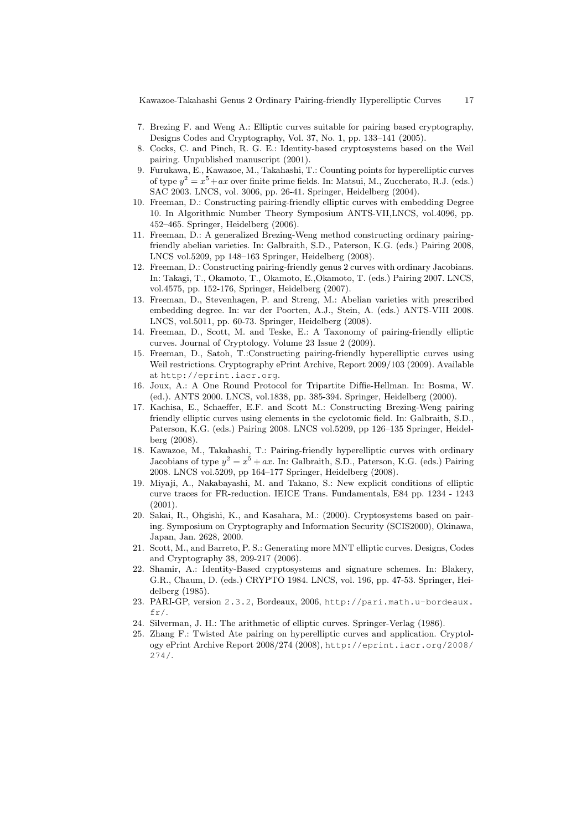- 7. Brezing F. and Weng A.: Elliptic curves suitable for pairing based cryptography, Designs Codes and Cryptography, Vol. 37, No. 1, pp. 133–141 (2005).
- 8. Cocks, C. and Pinch, R. G. E.: Identity-based cryptosystems based on the Weil pairing. Unpublished manuscript (2001).
- 9. Furukawa, E., Kawazoe, M., Takahashi, T.: Counting points for hyperelliptic curves of type  $y^2 = x^5 + ax$  over finite prime fields. In: Matsui, M., Zuccherato, R.J. (eds.) SAC 2003. LNCS, vol. 3006, pp. 26-41. Springer, Heidelberg (2004).
- 10. Freeman, D.: Constructing pairing-friendly elliptic curves with embedding Degree 10. In Algorithmic Number Theory Symposium ANTS-VII,LNCS, vol.4096, pp. 452–465. Springer, Heidelberg (2006).
- 11. Freeman, D.: A generalized Brezing-Weng method constructing ordinary pairingfriendly abelian varieties. In: Galbraith, S.D., Paterson, K.G. (eds.) Pairing 2008, LNCS vol.5209, pp 148–163 Springer, Heidelberg (2008).
- 12. Freeman, D.: Constructing pairing-friendly genus 2 curves with ordinary Jacobians. In: Takagi, T., Okamoto, T., Okamoto, E.,Okamoto, T. (eds.) Pairing 2007. LNCS, vol.4575, pp. 152-176, Springer, Heidelberg (2007).
- 13. Freeman, D., Stevenhagen, P. and Streng, M.: Abelian varieties with prescribed embedding degree. In: var der Poorten, A.J., Stein, A. (eds.) ANTS-VIII 2008. LNCS, vol.5011, pp. 60-73. Springer, Heidelberg (2008).
- 14. Freeman, D., Scott, M. and Teske, E.: A Taxonomy of pairing-friendly elliptic curves. Journal of Cryptology. Volume 23 Issue 2 (2009).
- 15. Freeman, D., Satoh, T.:Constructing pairing-friendly hyperelliptic curves using Weil restrictions. Cryptography ePrint Archive, Report 2009/103 (2009). Available at http://eprint.iacr.org.
- 16. Joux, A.: A One Round Protocol for Tripartite Diffie-Hellman. In: Bosma, W. (ed.). ANTS 2000. LNCS, vol.1838, pp. 385-394. Springer, Heidelberg (2000).
- 17. Kachisa, E., Schaeffer, E.F. and Scott M.: Constructing Brezing-Weng pairing friendly elliptic curves using elements in the cyclotomic field. In: Galbraith, S.D., Paterson, K.G. (eds.) Pairing 2008. LNCS vol.5209, pp 126–135 Springer, Heidelberg (2008).
- 18. Kawazoe, M., Takahashi, T.: Pairing-friendly hyperelliptic curves with ordinary Jacobians of type  $y^2 = x^5 + ax$ . In: Galbraith, S.D., Paterson, K.G. (eds.) Pairing 2008. LNCS vol.5209, pp 164–177 Springer, Heidelberg (2008).
- 19. Miyaji, A., Nakabayashi, M. and Takano, S.: New explicit conditions of elliptic curve traces for FR-reduction. IEICE Trans. Fundamentals, E84 pp. 1234 - 1243 (2001).
- 20. Sakai, R., Ohgishi, K., and Kasahara, M.: (2000). Cryptosystems based on pairing. Symposium on Cryptography and Information Security (SCIS2000), Okinawa, Japan, Jan. 2628, 2000.
- 21. Scott, M., and Barreto, P. S.: Generating more MNT elliptic curves. Designs, Codes and Cryptography 38, 209-217 (2006).
- 22. Shamir, A.: Identity-Based cryptosystems and signature schemes. In: Blakery, G.R., Chaum, D. (eds.) CRYPTO 1984. LNCS, vol. 196, pp. 47-53. Springer, Heidelberg (1985).
- 23. PARI-GP, version 2.3.2, Bordeaux, 2006, http://pari.math.u-bordeaux.  $fr/$ .
- 24. Silverman, J. H.: The arithmetic of elliptic curves. Springer-Verlag (1986).
- 25. Zhang F.: Twisted Ate pairing on hyperelliptic curves and application. Cryptology ePrint Archive Report 2008/274 (2008), http://eprint.iacr.org/2008/ 274/.